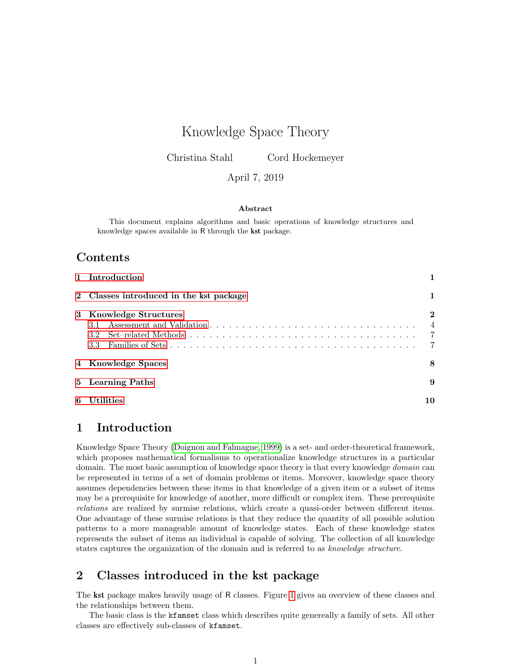# <span id="page-0-2"></span>Knowledge Space Theory

Christina Stahl Cord Hockemeyer

### April 7, 2019

### Abstract

This document explains algorithms and basic operations of knowledge structures and knowledge spaces available in R through the kst package.

### Contents

|   | 1 Introduction                          |                                                   |
|---|-----------------------------------------|---------------------------------------------------|
|   | 2 Classes introduced in the kst package |                                                   |
|   | 3 Knowledge Structures                  | $\bf{2}$<br>$\overline{4}$<br>$\overline{7}$<br>7 |
|   | 4 Knowledge Spaces                      | 8                                                 |
|   | 5 Learning Paths                        | 9                                                 |
| 6 | <b>Utilities</b>                        | 10                                                |

## <span id="page-0-0"></span>1 Introduction

Knowledge Space Theory [\(Doignon and Falmagne, 1999\)](#page-9-1) is a set- and order-theoretical framework, which proposes mathematical formalisms to operationalize knowledge structures in a particular domain. The most basic assumption of knowledge space theory is that every knowledge *domain* can be represented in terms of a set of domain problems or items. Moreover, knowledge space theory assumes dependencies between these items in that knowledge of a given item or a subset of items may be a prerequisite for knowledge of another, more difficult or complex item. These prerequisite relations are realized by surmise relations, which create a quasi-order between different items. One advantage of these surmise relations is that they reduce the quantity of all possible solution patterns to a more manageable amount of knowledge states. Each of these knowledge states represents the subset of items an individual is capable of solving. The collection of all knowledge states captures the organization of the domain and is referred to as knowledge structure.

## <span id="page-0-1"></span>2 Classes introduced in the kst package

The kst package makes heavily usage of R classes. Figure [1](#page-1-1) gives an overview of these classes and the relationships between them.

The basic class is the kfamset class which describes quite genereally a family of sets. All other classes are effectively sub-classes of kfamset.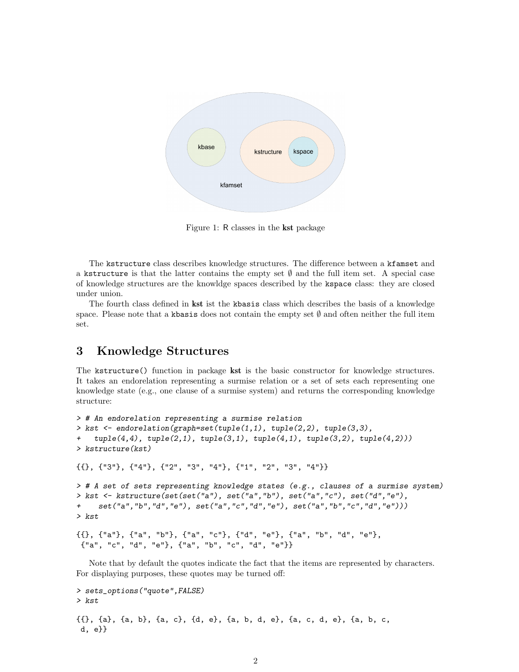<span id="page-1-2"></span>

<span id="page-1-1"></span>Figure 1: R classes in the kst package

The kstructure class describes knowledge structures. The difference between a kfamset and a kstructure is that the latter contains the empty set  $\emptyset$  and the full item set. A special case of knowledge structures are the knowldge spaces described by the kspace class: they are closed under union.

The fourth class defined in kst ist the kbasis class which describes the basis of a knowledge space. Please note that a kbasis does not contain the empty set  $\emptyset$  and often neither the full item set.

## <span id="page-1-0"></span>3 Knowledge Structures

The kstructure() function in package kst is the basic constructor for knowledge structures. It takes an endorelation representing a surmise relation or a set of sets each representing one knowledge state (e.g., one clause of a surmise system) and returns the corresponding knowledge structure:

```
> # An endorelation representing a surmise relation
> kst <- endorelation(graph=set(tuple(1,1), tuple(2,2), tuple(3,3),
    tuple(4,4), tuple(2,1), tuple(3,1), tuple(4,1), tuple(3,2), tuple(4,2))> kstructure(kst)
{{}, {"3"}, {"4"}, {"2", "3", "4"}, {"1", "2", "3", "4"}}
> # A set of sets representing knowledge states (e.g., clauses of a surmise system)
> kst <- kstructure(set(set("a"), set("a","b"), set("a","c"), set("d","e"),
     set("a", "b", "d", "e"), set("a", "c", "d", "e"), set("a", "b", "c", "d", "e"))> kst
{{}, {"a"}, {"a", "b"}, {"a", "c"}, {"d", "e"}, {"a", "b", "d", "e"},
{"a", "c", "d", "e"}, {"a", "b", "c", "d", "e"}}
```
Note that by default the quotes indicate the fact that the items are represented by characters. For displaying purposes, these quotes may be turned off:

```
> sets_options("quote",FALSE)
> kst
{{}, {a}, {a, b}, {a, c}, {d, e}, {a, b, d, e}, {a, c, d, e}, {a, b, c,
d, e}}
```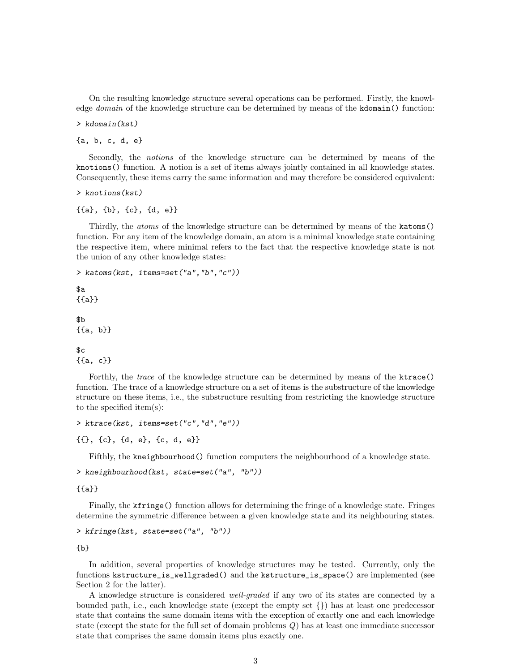<span id="page-2-0"></span>On the resulting knowledge structure several operations can be performed. Firstly, the knowledge *domain* of the knowledge structure can be determined by means of the kdomain() function:

> kdomain(kst)

{a, b, c, d, e}

Secondly, the notions of the knowledge structure can be determined by means of the knotions() function. A notion is a set of items always jointly contained in all knowledge states. Consequently, these items carry the same information and may therefore be considered equivalent:

> knotions(kst)

{{a}, {b}, {c}, {d, e}}

Thirdly, the atoms of the knowledge structure can be determined by means of the katoms() function. For any item of the knowledge domain, an atom is a minimal knowledge state containing the respective item, where minimal refers to the fact that the respective knowledge state is not the union of any other knowledge states:

```
> katoms(kst, items=set("a","b","c"))
```
 $$a$ {{a}} \$b {{a, b}}

```
c{{a, c}}
```
Forthly, the *trace* of the knowledge structure can be determined by means of the **ktrace**() function. The trace of a knowledge structure on a set of items is the substructure of the knowledge structure on these items, i.e., the substructure resulting from restricting the knowledge structure to the specified item(s):

> ktrace(kst, items=set("c","d","e"))

{{}, {c}, {d, e}, {c, d, e}}

Fifthly, the kneighbourhood() function computers the neighbourhood of a knowledge state.

```
> kneighbourhood(kst, state=set("a", "b"))
```
{{a}}

Finally, the kfringe() function allows for determining the fringe of a knowledge state. Fringes determine the symmetric difference between a given knowledge state and its neighbouring states.

```
> kfringe(kst, state=set("a", "b"))
```
{b}

In addition, several properties of knowledge structures may be tested. Currently, only the functions kstructure\_is\_wellgraded() and the kstructure\_is\_space() are implemented (see Section 2 for the latter).

A knowledge structure is considered well-graded if any two of its states are connected by a bounded path, i.e., each knowledge state (except the empty set {}) has at least one predecessor state that contains the same domain items with the exception of exactly one and each knowledge state (except the state for the full set of domain problems Q) has at least one immediate successor state that comprises the same domain items plus exactly one.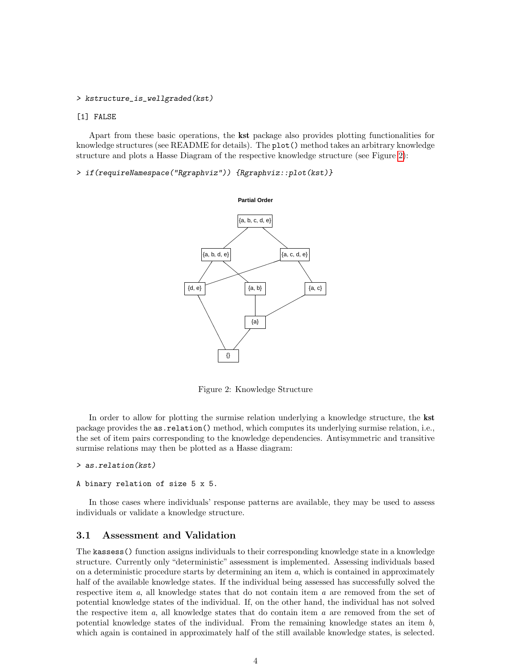#### <span id="page-3-2"></span>> kstructure\_is\_wellgraded(kst)

#### [1] FALSE

Apart from these basic operations, the kst package also provides plotting functionalities for knowledge structures (see README for details). The plot() method takes an arbitrary knowledge structure and plots a Hasse Diagram of the respective knowledge structure (see Figure [2\)](#page-3-1):

> if(requireNamespace("Rgraphviz")) {Rgraphviz::plot(kst)}



<span id="page-3-1"></span>Figure 2: Knowledge Structure

In order to allow for plotting the surmise relation underlying a knowledge structure, the **kst** package provides the as.relation() method, which computes its underlying surmise relation, i.e., the set of item pairs corresponding to the knowledge dependencies. Antisymmetric and transitive surmise relations may then be plotted as a Hasse diagram:

#### > as.relation(kst)

#### A binary relation of size 5 x 5.

In those cases where individuals' response patterns are available, they may be used to assess individuals or validate a knowledge structure.

### <span id="page-3-0"></span>3.1 Assessment and Validation

The kassess() function assigns individuals to their corresponding knowledge state in a knowledge structure. Currently only "deterministic" assessment is implemented. Assessing individuals based on a deterministic procedure starts by determining an item a, which is contained in approximately half of the available knowledge states. If the individual being assessed has successfully solved the respective item a, all knowledge states that do not contain item a are removed from the set of potential knowledge states of the individual. If, on the other hand, the individual has not solved the respective item  $a$ , all knowledge states that do contain item  $a$  are removed from the set of potential knowledge states of the individual. From the remaining knowledge states an item  $b$ , which again is contained in approximately half of the still available knowledge states, is selected.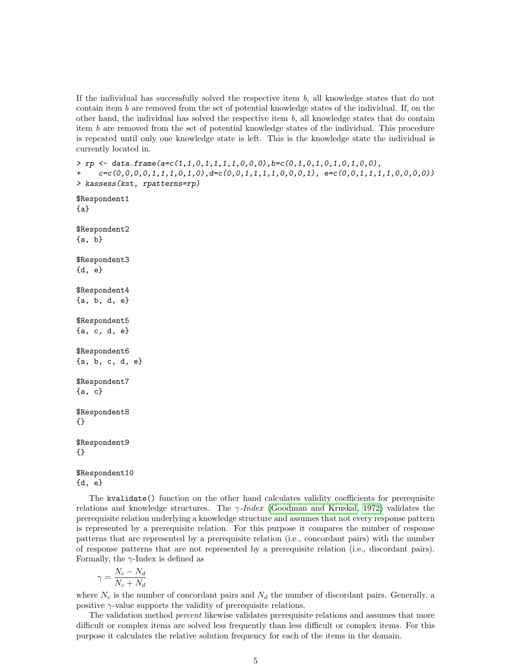<span id="page-4-0"></span>If the individual has successfully solved the respective item  $b$ , all knowledge states that do not contain item  $b$  are removed from the set of potential knowledge states of the individual. If, on the other hand, the individual has solved the respective item  $b$ , all knowledge states that do contain item b are removed from the set of potential knowledge states of the individual. This procedure is repeated until only one knowledge state is left. This is the knowledge state the individual is currently located in.

```
> rp <- data.frame(a=c(1,1,0,1,1,1,1,0,0,0),b=c(0,1,0,1,0,1,0,1,0,0),
     c = c(0,0,0,0,1,1,1,0,1,0), d = c(0,0,1,1,1,1,0,0,0,1), e = c(0,0,1,1,1,1,0,0,0,0))> kassess(kst, rpatterns=rp)
$Respondent1
{a}
$Respondent2
{a, b}
$Respondent3
{d, e}
$Respondent4
{a, b, d, e}
$Respondent5
{a, c, d, e}
$Respondent6
{a, b, c, d, e}
$Respondent7
{a, c}
$Respondent8
{}
$Respondent9
{}
```
\$Respondent10 {d, e}

The kvalidate() function on the other hand calculates validity coefficients for prerequisite relations and knowledge structures. The  $\gamma$ -*Index* [\(Goodman and Kruskal, 1972\)](#page-9-2) validates the prerequisite relation underlying a knowledge structure and assumes that not every response pattern is represented by a prerequisite relation. For this purpose it compares the number of response patterns that are represented by a prerequisite relation (i.e., concordant pairs) with the number of response patterns that are not represented by a prerequisite relation (i.e., discordant pairs). Formally, the  $\gamma$ -Index is defined as

$$
\gamma = \frac{N_c-N_d}{N_c+N_d}
$$

where  $N_c$  is the number of concordant pairs and  $N_d$  the number of discordant pairs. Generally, a positive  $\gamma$ -value supports the validity of prerequisite relations.

The validation method percent likewise validates prerequisite relations and assumes that more difficult or complex items are solved less frequently than less difficult or complex items. For this purpose it calculates the relative solution frequency for each of the items in the domain.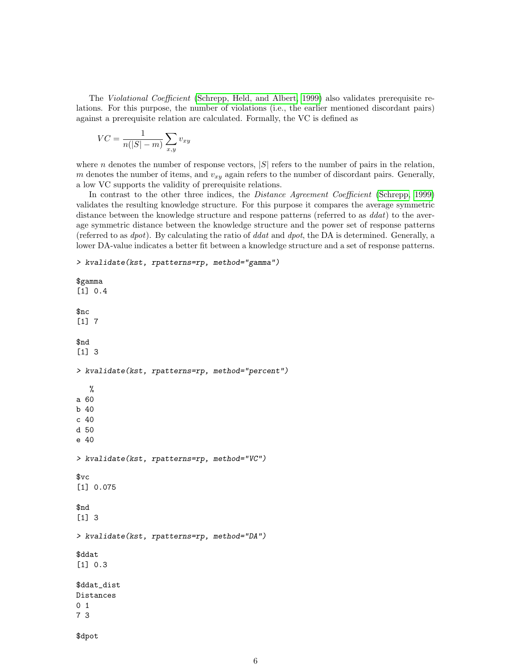The Violational Coefficient [\(Schrepp, Held, and Albert, 1999\)](#page-10-0) also validates prerequisite relations. For this purpose, the number of violations (i.e., the earlier mentioned discordant pairs) against a prerequisite relation are calculated. Formally, the VC is defined as

$$
VC = \frac{1}{n(|S| - m)} \sum_{x,y} v_{xy}
$$

where *n* denotes the number of response vectors,  $|S|$  refers to the number of pairs in the relation, m denotes the number of items, and  $v_{xy}$  again refers to the number of discordant pairs. Generally, a low VC supports the validity of prerequisite relations.

In contrast to the other three indices, the *Distance Agreement Coefficient* [\(Schrepp, 1999\)](#page-10-1) validates the resulting knowledge structure. For this purpose it compares the average symmetric distance between the knowledge structure and respone patterns (referred to as  $d_{dat}$ ) to the average symmetric distance between the knowledge structure and the power set of response patterns (referred to as  $dpot$ ). By calculating the ratio of ddat and  $dpot$ , the DA is determined. Generally, a lower DA-value indicates a better fit between a knowledge structure and a set of response patterns.

> kvalidate(kst, rpatterns=rp, method="gamma")

```
$gamma
[1] 0.4
$nc
[1] 7
$nd
[1] 3
> kvalidate(kst, rpatterns=rp, method="percent")
   %
a 60
b 40
c 40
d 50
e 40
> kvalidate(kst, rpatterns=rp, method="VC")
$vc
[1] 0.075
$nd
[1] 3
> kvalidate(kst, rpatterns=rp, method="DA")
$ddat
[1] 0.3
$ddat_dist
Distances
0 1
7 3
```
\$dpot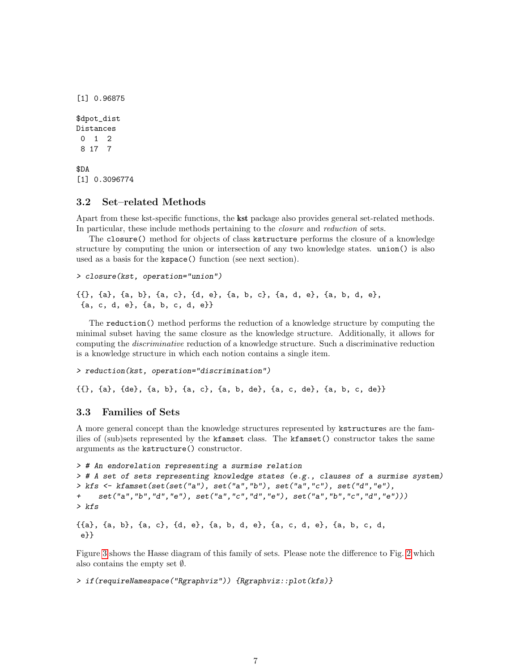<span id="page-6-2"></span>[1] 0.96875 \$dpot\_dist Distances 0 1 2 8 17 7 \$DA [1] 0.3096774

### <span id="page-6-0"></span>3.2 Set–related Methods

Apart from these kst-specific functions, the kst package also provides general set-related methods. In particular, these include methods pertaining to the closure and reduction of sets.

The closure() method for objects of class kstructure performs the closure of a knowledge structure by computing the union or intersection of any two knowledge states. union() is also used as a basis for the kspace() function (see next section).

```
> closure(kst, operation="union")
```

```
{{}, {a}, {a, b}, {a, c}, {d, e}, {a, b, c}, {a, d, e}, {a, b, d, e},
{a, c, d, e}, {a, b, c, d, e}}
```
The reduction() method performs the reduction of a knowledge structure by computing the minimal subset having the same closure as the knowledge structure. Additionally, it allows for computing the discriminative reduction of a knowledge structure. Such a discriminative reduction is a knowledge structure in which each notion contains a single item.

```
> reduction(kst, operation="discrimination")
```
{{}, {a}, {de}, {a, b}, {a, c}, {a, b, de}, {a, c, de}, {a, b, c, de}}

### <span id="page-6-1"></span>3.3 Families of Sets

A more general concept than the knowledge structures represented by kstructures are the families of (sub)sets represented by the kfamset class. The kfamset() constructor takes the same arguments as the kstructure() constructor.

```
> # An endorelation representing a surmise relation
> # A set of sets representing knowledge states (e.g., clauses of a surmise system)
> kfs <- kfamset(set(set("a"), set("a","b"), set("a","c"), set("d","e"),
+ set("a","b","d","e"), set("a","c","d","e"), set("a","b","c","d","e")))
> kfs
```
{{a}, {a, b}, {a, c}, {d, e}, {a, b, d, e}, {a, c, d, e}, {a, b, c, d, e}}

Figure [3](#page-7-1) shows the Hasse diagram of this family of sets. Please note the difference to Fig. [2](#page-3-1) which also contains the empty set ∅.

> if(requireNamespace("Rgraphviz")) {Rgraphviz::plot(kfs)}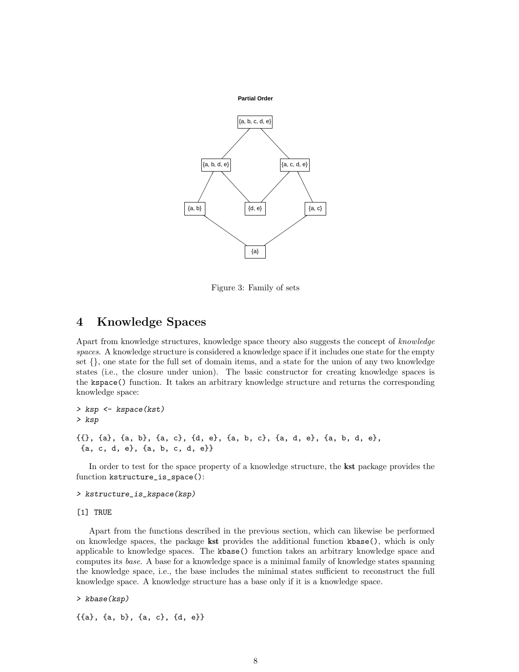<span id="page-7-2"></span>

<span id="page-7-1"></span>Figure 3: Family of sets

### <span id="page-7-0"></span>4 Knowledge Spaces

Apart from knowledge structures, knowledge space theory also suggests the concept of knowledge spaces. A knowledge structure is considered a knowledge space if it includes one state for the empty set {}, one state for the full set of domain items, and a state for the union of any two knowledge states (i.e., the closure under union). The basic constructor for creating knowledge spaces is the kspace() function. It takes an arbitrary knowledge structure and returns the corresponding knowledge space:

> ksp <- kspace(kst) > ksp {{}, {a}, {a, b}, {a, c}, {d, e}, {a, b, c}, {a, d, e}, {a, b, d, e}, {a, c, d, e}, {a, b, c, d, e}}

In order to test for the space property of a knowledge structure, the kst package provides the function kstructure\_is\_space():

> kstructure\_is\_kspace(ksp)

[1] TRUE

Apart from the functions described in the previous section, which can likewise be performed on knowledge spaces, the package kst provides the additional function kbase(), which is only applicable to knowledge spaces. The kbase() function takes an arbitrary knowledge space and computes its base. A base for a knowledge space is a minimal family of knowledge states spanning the knowledge space, i.e., the base includes the minimal states sufficient to reconstruct the full knowledge space. A knowledge structure has a base only if it is a knowledge space.

> kbase(ksp)

{{a}, {a, b}, {a, c}, {d, e}}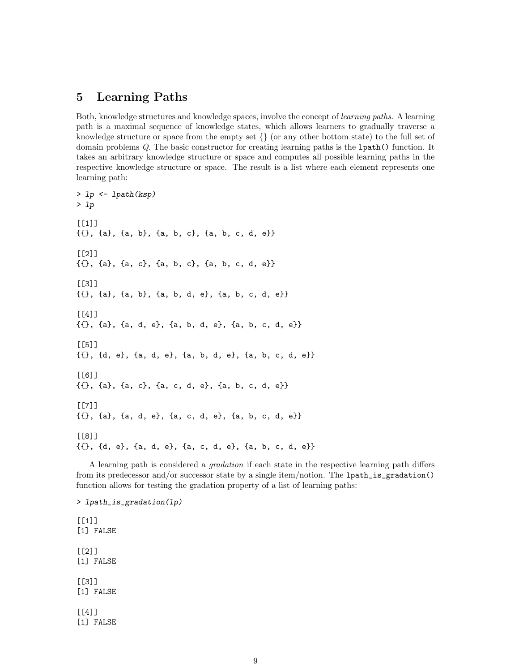## <span id="page-8-1"></span><span id="page-8-0"></span>5 Learning Paths

Both, knowledge structures and knowledge spaces, involve the concept of learning paths. A learning path is a maximal sequence of knowledge states, which allows learners to gradually traverse a knowledge structure or space from the empty set  $\{\}\$  (or any other bottom state) to the full set of domain problems Q. The basic constructor for creating learning paths is the lpath() function. It takes an arbitrary knowledge structure or space and computes all possible learning paths in the respective knowledge structure or space. The result is a list where each element represents one learning path:

```
> lp <- lpath(ksp)
> lp
[[1]{{}, {a}, {a, b}, {a, b, c}, {a, b, c, d, e}}
[[2]]
{{}, {a}, {a, c}, {a, b, c}, {a, b, c, d, e}}
[[3]]
{{}, {a}, {a, b}, {a, b, d, e}, {a, b, c, d, e}}
\lceil[4]]
{{}, {a}, {a, d, e}, {a, b, d, e}, {a, b, c, d, e}}
[[5]]
{{}, {d, e}, {a, d, e}, {a, b, d, e}, {a, b, c, d, e}}
[[6]]
{{}, {a}, {a, c}, {a, c, d, e}, {a, b, c, d, e}}
[[7]]
{{}, {a}, {a, d, e}, {a, c, d, e}, {a, b, c, d, e}}
[[8]]
{{}, {d, e}, {a, d, e}, {a, c, d, e}, {a, b, c, d, e}}
```
A learning path is considered a gradation if each state in the respective learning path differs from its predecessor and/or successor state by a single item/notion. The lpath\_is\_gradation() function allows for testing the gradation property of a list of learning paths:

> lpath\_is\_gradation(lp)  $[[1]$ ] [1] FALSE [[2]] [1] FALSE  $[$ [3]] [1] FALSE [[4]] [1] FALSE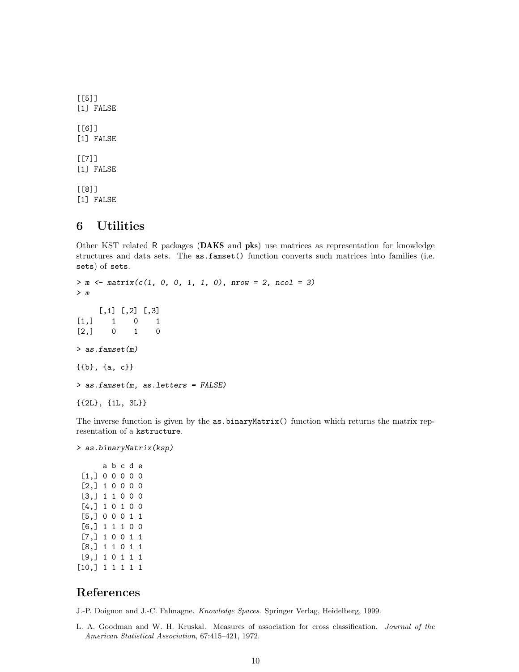<span id="page-9-3"></span>[[5]] [1] FALSE [[6]] [1] FALSE  $[$ [7]] [1] FALSE [[8]] [1] FALSE

## <span id="page-9-0"></span>6 Utilities

Other KST related R packages (DAKS and pks) use matrices as representation for knowledge structures and data sets. The as.famset() function converts such matrices into families (i.e. sets) of sets.

```
> m \le matrix(c(1, 0, 0, 1, 1, 0), nrow = 2, ncol = 3)
> m
    [,1] [,2] [,3][1,] 1 0 1
[2,] 0 1 0> as.famset(m)
{{b}, {a, c}}
> as.famset(m, as.letters = FALSE)
{{2L}, {1L, 3L}}
```
The inverse function is given by the as.binaryMatrix() function which returns the matrix representation of a kstructure.

> as.binaryMatrix(ksp)

### References

<span id="page-9-1"></span>J.-P. Doignon and J.-C. Falmagne. Knowledge Spaces. Springer Verlag, Heidelberg, 1999.

<span id="page-9-2"></span>L. A. Goodman and W. H. Kruskal. Measures of association for cross classification. Journal of the American Statistical Association, 67:415–421, 1972.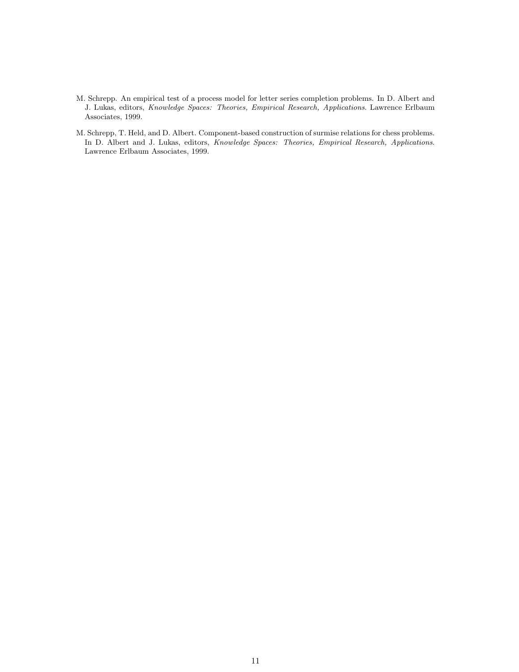- <span id="page-10-1"></span>M. Schrepp. An empirical test of a process model for letter series completion problems. In D. Albert and J. Lukas, editors, Knowledge Spaces: Theories, Empirical Research, Applications. Lawrence Erlbaum Associates, 1999.
- <span id="page-10-0"></span>M. Schrepp, T. Held, and D. Albert. Component-based construction of surmise relations for chess problems. In D. Albert and J. Lukas, editors, Knowledge Spaces: Theories, Empirical Research, Applications. Lawrence Erlbaum Associates, 1999.